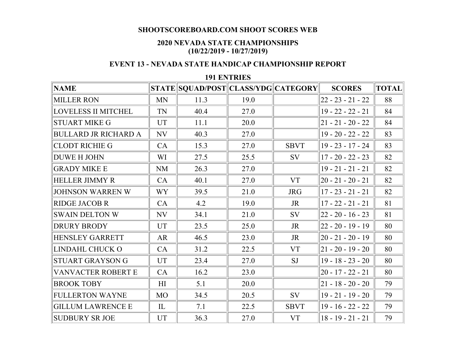## **SHOOTSCOREBOARD.COM SHOOT SCORES WEB**

## **2020 NEVADA STATE CHAMPIONSHIPS (10/22/2019 - 10/27/2019)**

## **EVENT 13 - NEVADA STATE HANDICAP CHAMPIONSHIP REPORT**

## **191 ENTRIES**

| <b>NAME</b>                 |                | STATE SQUAD/POST CLASS/YDG CATEGORY |      |             | <b>SCORES</b>         | <b>TOTAL</b> |
|-----------------------------|----------------|-------------------------------------|------|-------------|-----------------------|--------------|
| <b>MILLER RON</b>           | <b>MN</b>      | 11.3                                | 19.0 |             | $22 - 23 - 21 - 22$   | 88           |
| <b>LOVELESS II MITCHEL</b>  | TN             | 40.4                                | 27.0 |             | $19 - 22 - 22 - 21$   | 84           |
| <b>STUART MIKE G</b>        | <b>UT</b>      | 11.1                                | 20.0 |             | $ 21 - 21 - 20 - 22 $ | 84           |
| <b>BULLARD JR RICHARD A</b> | NV             | 40.3                                | 27.0 |             | $19 - 20 - 22 - 22$   | 83           |
| <b>CLODT RICHIE G</b>       | CA             | 15.3                                | 27.0 | <b>SBVT</b> | $19 - 23 - 17 - 24$   | 83           |
| DUWE H JOHN                 | WI             | 27.5                                | 25.5 | <b>SV</b>   | $17 - 20 - 22 - 23$   | 82           |
| <b>GRADY MIKE E</b>         | <b>NM</b>      | 26.3                                | 27.0 |             | $19 - 21 - 21 - 21$   | 82           |
| <b>HELLER JIMMY R</b>       | <b>CA</b>      | 40.1                                | 27.0 | <b>VT</b>   | $ 20 - 21 - 20 - 21 $ | 82           |
| <b>JOHNSON WARREN W</b>     | WY <sub></sub> | 39.5                                | 21.0 | <b>JRG</b>  | $17 - 23 - 21 - 21$   | 82           |
| <b>RIDGE JACOB R</b>        | CA             | 4.2                                 | 19.0 | JR          | $17 - 22 - 21 - 21$   | 81           |
| <b>SWAIN DELTON W</b>       | NV             | 34.1                                | 21.0 | SV          | $ 22 - 20 - 16 - 23 $ | 81           |
| <b>DRURY BRODY</b>          | <b>UT</b>      | 23.5                                | 25.0 | <b>JR</b>   | $ 22 - 20 - 19 - 19 $ | 80           |
| <b>HENSLEY GARRETT</b>      | <b>AR</b>      | 46.5                                | 23.0 | JR          | $ 20 - 21 - 20 - 19 $ | 80           |
| LINDAHL CHUCK O             | CA             | 31.2                                | 22.5 | <b>VT</b>   | $ 21 - 20 - 19 - 20 $ | 80           |
| STUART GRAYSON G            | <b>UT</b>      | 23.4                                | 27.0 | <b>SJ</b>   | $19 - 18 - 23 - 20$   | 80           |
| <b>VANVACTER ROBERT E</b>   | CA             | 16.2                                | 23.0 |             | $20 - 17 - 22 - 21$   | 80           |
| <b>BROOK TOBY</b>           | H <sub>I</sub> | 5.1                                 | 20.0 |             | $ 21 - 18 - 20 - 20 $ | 79           |
| <b>FULLERTON WAYNE</b>      | <b>MO</b>      | 34.5                                | 20.5 | SV          | $19 - 21 - 19 - 20$   | 79           |
| <b>GILLUM LAWRENCE E</b>    | $\mathbf{L}$   | 7.1                                 | 22.5 | <b>SBVT</b> | $19 - 16 - 22 - 22$   | 79           |
| <b>SUDBURY SR JOE</b>       | <b>UT</b>      | 36.3                                | 27.0 | <b>VT</b>   | $18 - 19 - 21 - 21$   | 79           |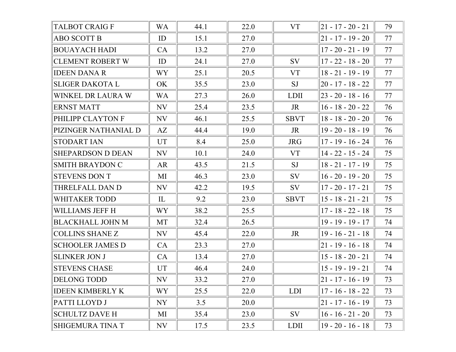| <b>TALBOT CRAIG F</b>    | <b>WA</b>                  | 44.1 | 22.0 | <b>VT</b>   | $ 21 - 17 - 20 - 21 $ | 79 |
|--------------------------|----------------------------|------|------|-------------|-----------------------|----|
| <b>ABO SCOTT B</b>       | ID                         | 15.1 | 27.0 |             | $21 - 17 - 19 - 20$   | 77 |
| <b>BOUAYACH HADI</b>     | <b>CA</b>                  | 13.2 | 27.0 |             | $17 - 20 - 21 - 19$   | 77 |
| <b>CLEMENT ROBERT W</b>  | ID                         | 24.1 | 27.0 | SV          | $17 - 22 - 18 - 20$   | 77 |
| <b>IDEEN DANA R</b>      | <b>WY</b>                  | 25.1 | 20.5 | <b>VT</b>   | $18 - 21 - 19 - 19$   | 77 |
| <b>SLIGER DAKOTA L</b>   | OK                         | 35.5 | 23.0 | <b>SJ</b>   | $20 - 17 - 18 - 22$   | 77 |
| WINKEL DR LAURA W        | <b>WA</b>                  | 27.3 | 26.0 | <b>LDII</b> | $ 23 - 20 - 18 - 16 $ | 77 |
| <b>ERNST MATT</b>        | NV                         | 25.4 | 23.5 | JR          | $16 - 18 - 20 - 22$   | 76 |
| PHILIPP CLAYTON F        | NV                         | 46.1 | 25.5 | <b>SBVT</b> | $18 - 18 - 20 - 20$   | 76 |
| PIZINGER NATHANIAL D     | AZ                         | 44.4 | 19.0 | <b>JR</b>   | $19 - 20 - 18 - 19$   | 76 |
| <b>STODART IAN</b>       | UT                         | 8.4  | 25.0 | <b>JRG</b>  | $17 - 19 - 16 - 24$   | 76 |
| <b>SHEPARDSON D DEAN</b> | NV                         | 10.1 | 24.0 | <b>VT</b>   | $14 - 22 - 15 - 24$   | 75 |
| <b>SMITH BRAYDON C</b>   | <b>AR</b>                  | 43.5 | 21.5 | SJ          | $18 - 21 - 17 - 19$   | 75 |
| <b>STEVENS DON T</b>     | MI                         | 46.3 | 23.0 | SV          | $16 - 20 - 19 - 20$   | 75 |
| THRELFALL DAN D          | NV                         | 42.2 | 19.5 | SV          | $17 - 20 - 17 - 21$   | 75 |
| <b>WHITAKER TODD</b>     | $\mathop{\rm IL}\nolimits$ | 9.2  | 23.0 | <b>SBVT</b> | $15 - 18 - 21 - 21$   | 75 |
| WILLIAMS JEFF H          | WY <sup>-</sup>            | 38.2 | 25.5 |             | $17 - 18 - 22 - 18$   | 75 |
| <b>BLACKHALL JOHN M</b>  | MT                         | 32.4 | 26.5 |             | $19 - 19 - 19 - 17$   | 74 |
| <b>COLLINS SHANE Z</b>   | NV                         | 45.4 | 22.0 | JR          | $19 - 16 - 21 - 18$   | 74 |
| <b>SCHOOLER JAMES D</b>  | <b>CA</b>                  | 23.3 | 27.0 |             | $21 - 19 - 16 - 18$   | 74 |
| <b>SLINKER JON J</b>     | <b>CA</b>                  | 13.4 | 27.0 |             | $15 - 18 - 20 - 21$   | 74 |
| <b>STEVENS CHASE</b>     | <b>UT</b>                  | 46.4 | 24.0 |             | $15 - 19 - 19 - 21$   | 74 |
| DELONG TODD              | NV                         | 33.2 | 27.0 |             | $ 21 - 17 - 16 - 19 $ | 73 |
| <b>IDEEN KIMBERLY K</b>  | WY <sup>-</sup>            | 25.5 | 22.0 | <b>LDI</b>  | $17 - 16 - 18 - 22$   | 73 |
| PATTI LLOYD J            | NY                         | 3.5  | 20.0 |             | 21 - 17 - 16 - 19     | 73 |
| <b>SCHULTZ DAVE H</b>    | MI                         | 35.4 | 23.0 | SV          | $16 - 16 - 21 - 20$   | 73 |
| SHIGEMURA TINA T         | NV                         | 17.5 | 23.5 | <b>LDII</b> | $19 - 20 - 16 - 18$   | 73 |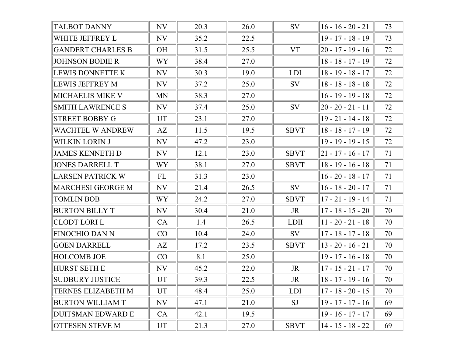| <b>TALBOT DANNY</b>       | NV             | 20.3 | 26.0 | <b>SV</b>   | $16 - 16 - 20 - 21$   | 73 |
|---------------------------|----------------|------|------|-------------|-----------------------|----|
| WHITE JEFFREY L           | NV             | 35.2 | 22.5 |             | $19 - 17 - 18 - 19$   | 73 |
| <b>GANDERT CHARLES B</b>  | <b>OH</b>      | 31.5 | 25.5 | <b>VT</b>   | $ 20 - 17 - 19 - 16 $ | 72 |
| <b>JOHNSON BODIE R</b>    | WY <sub></sub> | 38.4 | 27.0 |             | $18 - 18 - 17 - 19$   | 72 |
| LEWIS DONNETTE K          | NV             | 30.3 | 19.0 | <b>LDI</b>  | $18 - 19 - 18 - 17$   | 72 |
| <b>LEWIS JEFFREY M</b>    | NV             | 37.2 | 25.0 | <b>SV</b>   | $18 - 18 - 18 - 18$   | 72 |
| MICHAELIS MIKE V          | <b>MN</b>      | 38.3 | 27.0 |             | $16 - 19 - 19 - 18$   | 72 |
| <b>SMITH LAWRENCE S</b>   | NV             | 37.4 | 25.0 | <b>SV</b>   | $20 - 20 - 21 - 11$   | 72 |
| <b>STREET BOBBY G</b>     | <b>UT</b>      | 23.1 | 27.0 |             | $19 - 21 - 14 - 18$   | 72 |
| WACHTEL W ANDREW          | AZ             | 11.5 | 19.5 | <b>SBVT</b> | $18 - 18 - 17 - 19$   | 72 |
| WILKIN LORIN J            | NV             | 47.2 | 23.0 |             | $19 - 19 - 19 - 15$   | 72 |
| <b>JAMES KENNETH D</b>    | NV             | 12.1 | 23.0 | <b>SBVT</b> | $ 21 - 17 - 16 - 17 $ | 71 |
| <b>JONES DARRELL T</b>    | WY <sub></sub> | 38.1 | 27.0 | <b>SBVT</b> | $18 - 19 - 16 - 18$   | 71 |
| <b>LARSEN PATRICK W</b>   | FL             | 31.3 | 23.0 |             | $16 - 20 - 18 - 17$   | 71 |
| <b>MARCHESI GEORGE M</b>  | NV             | 21.4 | 26.5 | <b>SV</b>   | $16 - 18 - 20 - 17$   | 71 |
| <b>TOMLIN BOB</b>         | WY <sub></sub> | 24.2 | 27.0 | <b>SBVT</b> | $17 - 21 - 19 - 14$   | 71 |
| <b>BURTON BILLY T</b>     | NV             | 30.4 | 21.0 | JR          | $17 - 18 - 15 - 20$   | 70 |
| <b>CLODT LORI L</b>       | CA             | 1.4  | 26.5 | <b>LDII</b> | $ 11 - 20 - 21 - 18 $ | 70 |
| <b>FINOCHIO DAN N</b>     | CO             | 10.4 | 24.0 | SV          | $17 - 18 - 17 - 18$   | 70 |
| <b>GOEN DARRELL</b>       | AZ             | 17.2 | 23.5 | <b>SBVT</b> | $13 - 20 - 16 - 21$   | 70 |
| <b>HOLCOMB JOE</b>        | CO             | 8.1  | 25.0 |             | $19 - 17 - 16 - 18$   | 70 |
| <b>HURST SETH E</b>       | NV             | 45.2 | 22.0 | <b>JR</b>   | $17 - 15 - 21 - 17$   | 70 |
| <b>SUDBURY JUSTICE</b>    | UT             | 39.3 | 22.5 | JR          | $ 18 - 17 - 19 - 16 $ | 70 |
| <b>TERNES ELIZABETH M</b> | UT             | 48.4 | 25.0 | <b>LDI</b>  | 17 - 18 - 20 - 15     | 70 |
| <b>BURTON WILLIAM T</b>   | NV             | 47.1 | 21.0 | SJ          | $19 - 17 - 17 - 16$   | 69 |
| <b>DUITSMAN EDWARD E</b>  | CA             | 42.1 | 19.5 |             | $19 - 16 - 17 - 17$   | 69 |
| <b>OTTESEN STEVE M</b>    | UT             | 21.3 | 27.0 | <b>SBVT</b> | 14 - 15 - 18 - 22     | 69 |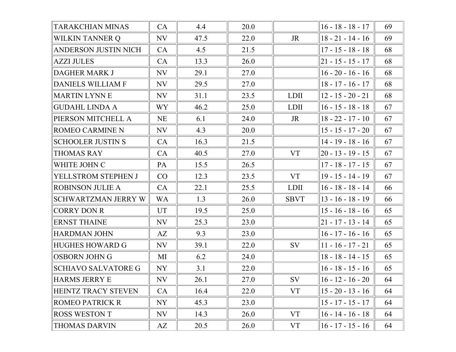| TARAKCHIAN MINAS            | CA        | 4.4  | 20.0 |             | $16 - 18 - 18 - 17$   | 69 |
|-----------------------------|-----------|------|------|-------------|-----------------------|----|
| <b>WILKIN TANNER Q</b>      | NV        | 47.5 | 22.0 | JR          | $18 - 21 - 14 - 16$   | 69 |
| <b>ANDERSON JUSTIN NICH</b> | CA        | 4.5  | 21.5 |             | $17 - 15 - 18 - 18$   | 68 |
| <b>AZZI JULES</b>           | CA        | 13.3 | 26.0 |             | $ 21 - 15 - 15 - 17 $ | 68 |
| <b>DAGHER MARK J</b>        | NV        | 29.1 | 27.0 |             | $16 - 20 - 16 - 16$   | 68 |
| <b>DANIELS WILLIAM F</b>    | NV        | 29.5 | 27.0 |             | $18 - 17 - 16 - 17$   | 68 |
| <b>MARTIN LYNN E</b>        | NV        | 31.1 | 23.5 | <b>LDII</b> | $12 - 15 - 20 - 21$   | 68 |
| <b>GUDAHL LINDA A</b>       | <b>WY</b> | 46.2 | 25.0 | <b>LDII</b> | $16 - 15 - 18 - 18$   | 67 |
| PIERSON MITCHELL A          | <b>NE</b> | 6.1  | 24.0 | JR          | $18 - 22 - 17 - 10$   | 67 |
| ROMEO CARMINE N             | NV        | 4.3  | 20.0 |             | $15 - 15 - 17 - 20$   | 67 |
| <b>SCHOOLER JUSTIN S</b>    | CA        | 16.3 | 21.5 |             | $14 - 19 - 18 - 16$   | 67 |
| <b>THOMAS RAY</b>           | CA        | 40.5 | 27.0 | <b>VT</b>   | $ 20 - 13 - 19 - 15 $ | 67 |
| WHITE JOHN C                | PA        | 15.5 | 26.5 |             | $17 - 18 - 17 - 15$   | 67 |
| YELLSTROM STEPHEN J         | CO        | 12.3 | 23.5 | <b>VT</b>   | $19 - 15 - 14 - 19$   | 67 |
| <b>ROBINSON JULIE A</b>     | CA        | 22.1 | 25.5 | <b>LDII</b> | $16 - 18 - 18 - 14$   | 66 |
| <b>SCHWARTZMAN JERRY W</b>  | <b>WA</b> | 1.3  | 26.0 | <b>SBVT</b> | $ 13 - 16 - 18 - 19 $ | 66 |
| <b>CORRY DON R</b>          | UT        | 19.5 | 25.0 |             | $15 - 16 - 18 - 16$   | 65 |
| <b>ERNST THAINE</b>         | NV        | 25.3 | 23.0 |             | $ 21 - 17 - 13 - 14 $ | 65 |
| <b>HARDMAN JOHN</b>         | AZ        | 9.3  | 23.0 |             | $16 - 17 - 16 - 16$   | 65 |
| <b>HUGHES HOWARD G</b>      | NV        | 39.1 | 22.0 | SV          | $11 - 16 - 17 - 21$   | 65 |
| <b>OSBORN JOHN G</b>        | МI        | 6.2  | 24.0 |             | $18 - 18 - 14 - 15$   | 65 |
| <b>SCHIAVO SALVATORE G</b>  | <b>NY</b> | 3.1  | 22.0 |             | $16 - 18 - 15 - 16$   | 65 |
| HARMS JERRY E               | <b>NV</b> | 26.1 | 27.0 | SV          | $ 16 - 12 - 16 - 20 $ | 64 |
| <b>HEINTZ TRACY STEVEN</b>  | CA        | 16.4 | 22.0 | <b>VT</b>   | $15 - 20 - 13 - 16$   | 64 |
| <b>ROMEO PATRICK R</b>      | NY        | 45.3 | 23.0 |             | $15 - 17 - 15 - 17$   | 64 |
| <b>ROSS WESTON T</b>        | NV        | 14.3 | 26.0 | <b>VT</b>   | $16 - 14 - 16 - 18$   | 64 |
| <b>THOMAS DARVIN</b>        | AZ        | 20.5 | 26.0 | <b>VT</b>   | $16 - 17 - 15 - 16$   | 64 |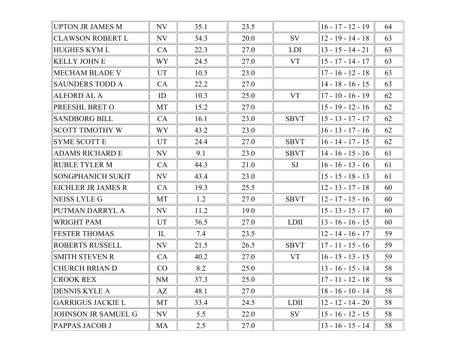| <b>UPTON JR JAMES M</b>    | NV                | 35.1 | 23.5 |             | $16 - 17 - 12 - 19$ | 64 |
|----------------------------|-------------------|------|------|-------------|---------------------|----|
| <b>CLAWSON ROBERT L</b>    | NV                | 34.3 | 20.0 | SV          | $12 - 19 - 14 - 18$ | 63 |
| <b>HUGHES KYML</b>         | CA                | 22.3 | 27.0 | <b>LDI</b>  | $13 - 15 - 14 - 21$ | 63 |
| <b>KELLY JOHN E</b>        | WY <sup>-</sup>   | 24.5 | 27.0 | <b>VT</b>   | $15 - 17 - 14 - 17$ | 63 |
| <b>MECHAM BLADE V</b>      | <b>UT</b>         | 10.5 | 23.0 |             | $17 - 16 - 12 - 18$ | 63 |
| <b>SAUNDERS TODD A</b>     | CA                | 22.2 | 27.0 |             | $14 - 18 - 16 - 15$ | 63 |
| <b>ALFORD AL A</b>         | ID                | 10.3 | 25.0 | <b>VT</b>   | $17 - 10 - 16 - 19$ | 62 |
| PREESHL BRET O             | MT                | 15.2 | 27.0 |             | $15 - 19 - 12 - 16$ | 62 |
| <b>SANDBORG BILL</b>       | CA                | 16.1 | 23.0 | <b>SBVT</b> | $15 - 13 - 17 - 17$ | 62 |
| <b>SCOTT TIMOTHY W</b>     | WY <sup>-</sup>   | 43.2 | 23.0 |             | $16 - 13 - 17 - 16$ | 62 |
| <b>SYME SCOTT E</b>        | UT                | 24.4 | 27.0 | <b>SBVT</b> | $16 - 14 - 17 - 15$ | 62 |
| <b>ADAMS RICHARD E</b>     | NV                | 9.1  | 23.0 | <b>SBVT</b> | $14 - 16 - 15 - 16$ | 61 |
| <b>RUBLE TYLER M</b>       | CA                | 44.3 | 21.0 | SJ          | $16 - 16 - 13 - 16$ | 61 |
| <b>SONGPHANICH SUKIT</b>   | NV                | 43.4 | 23.0 |             | $15 - 15 - 18 - 13$ | 61 |
| EICHLER JR JAMES R         | CA                | 19.3 | 25.5 |             | $12 - 13 - 17 - 18$ | 60 |
| <b>NEISS LYLE G</b>        | MT                | 1.2  | 27.0 | <b>SBVT</b> | $12 - 17 - 15 - 16$ | 60 |
| PUTMAN DARRYL A            | NV                | 11.2 | 19.0 |             | $15 - 13 - 15 - 17$ | 60 |
| <b>WRIGHT PAM</b>          | <b>UT</b>         | 36.5 | 27.0 | <b>LDII</b> | $13 - 16 - 16 - 15$ | 60 |
| <b>FESTER THOMAS</b>       | $\mathop{\rm IL}$ | 7.4  | 23.5 |             | $12 - 14 - 16 - 17$ | 59 |
| ROBERTS RUSSELL            | NV                | 21.5 | 26.5 | <b>SBVT</b> | $17 - 11 - 15 - 16$ | 59 |
| <b>SMITH STEVEN R</b>      | CA                | 40.2 | 27.0 | <b>VT</b>   | $16 - 15 - 13 - 15$ | 59 |
| <b>CHURCH BRIAN D</b>      | CO                | 8.2  | 25.0 |             | $13 - 16 - 15 - 14$ | 58 |
| <b>CROOK REX</b>           | <b>NM</b>         | 37.3 | 25.0 |             | $17 - 11 - 12 - 18$ | 58 |
| <b>DENNIS KYLE A</b>       | AZ                | 48.1 | 27.0 |             | $18 - 16 - 10 - 14$ | 58 |
| <b>GARRIGUS JACKIE L</b>   | MT                | 33.4 | 24.5 | <b>LDII</b> | $12 - 12 - 14 - 20$ | 58 |
| <b>JOHNSON JR SAMUEL G</b> | NV                | 5.5  | 22.0 | SV          | $15 - 16 - 12 - 15$ | 58 |
| PAPPAS JACOB J             | MA                | 2.5  | 27.0 |             | $13 - 16 - 15 - 14$ | 58 |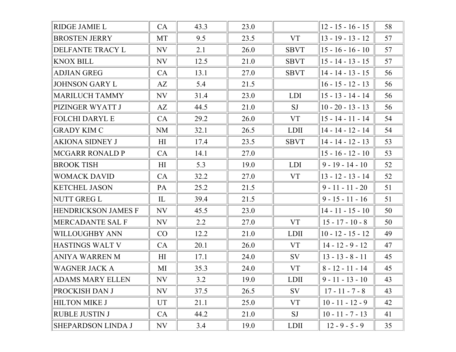| RIDGE JAMIE L              | CA             | 43.3 | 23.0 |             | $12 - 15 - 16 - 15$ | 58 |
|----------------------------|----------------|------|------|-------------|---------------------|----|
| <b>BROSTEN JERRY</b>       | MT             | 9.5  | 23.5 | <b>VT</b>   | $13 - 19 - 13 - 12$ | 57 |
| DELFANTE TRACY L           | NV             | 2.1  | 26.0 | <b>SBVT</b> | $15 - 16 - 16 - 10$ | 57 |
| <b>KNOX BILL</b>           | NV             | 12.5 | 21.0 | <b>SBVT</b> | $15 - 14 - 13 - 15$ | 57 |
| <b>ADJIAN GREG</b>         | CA             | 13.1 | 27.0 | <b>SBVT</b> | $14 - 14 - 13 - 15$ | 56 |
| <b>JOHNSON GARY L</b>      | AZ             | 5.4  | 21.5 |             | $16 - 15 - 12 - 13$ | 56 |
| <b>MARILUCH TAMMY</b>      | NV             | 31.4 | 23.0 | <b>LDI</b>  | $15 - 13 - 14 - 14$ | 56 |
| PIZINGER WYATT J           | AZ             | 44.5 | 21.0 | <b>SJ</b>   | $10 - 20 - 13 - 13$ | 56 |
| <b>FOLCHI DARYL E</b>      | CA             | 29.2 | 26.0 | <b>VT</b>   | $15 - 14 - 11 - 14$ | 54 |
| <b>GRADY KIM C</b>         | <b>NM</b>      | 32.1 | 26.5 | <b>LDII</b> | $14 - 14 - 12 - 14$ | 54 |
| <b>AKIONA SIDNEY J</b>     | H <sub>I</sub> | 17.4 | 23.5 | <b>SBVT</b> | $14 - 14 - 12 - 13$ | 53 |
| <b>MCGARR RONALD P</b>     | CA             | 14.1 | 27.0 |             | $15 - 16 - 12 - 10$ | 53 |
| <b>BROOK TISH</b>          | H              | 5.3  | 19.0 | <b>LDI</b>  | $9 - 19 - 14 - 10$  | 52 |
| <b>WOMACK DAVID</b>        | CA             | 32.2 | 27.0 | <b>VT</b>   | $13 - 12 - 13 - 14$ | 52 |
| <b>KETCHEL JASON</b>       | PA             | 25.2 | 21.5 |             | $9 - 11 - 11 - 20$  | 51 |
| NUTT GREG L                | $\mathbf{I}$   | 39.4 | 21.5 |             | $9 - 15 - 11 - 16$  | 51 |
| <b>HENDRICKSON JAMES F</b> | NV             | 45.5 | 23.0 |             | $14 - 11 - 15 - 10$ | 50 |
| MERCADANTE SAL F           | NV             | 2.2  | 27.0 | <b>VT</b>   | $15 - 17 - 10 - 8$  | 50 |
| <b>WILLOUGHBY ANN</b>      | CO             | 12.2 | 21.0 | <b>LDII</b> | $10 - 12 - 15 - 12$ | 49 |
| <b>HASTINGS WALT V</b>     | CA             | 20.1 | 26.0 | <b>VT</b>   | $14 - 12 - 9 - 12$  | 47 |
| ANIYA WARREN M             | H <sub>I</sub> | 17.1 | 24.0 | <b>SV</b>   | $13 - 13 - 8 - 11$  | 45 |
| <b>WAGNER JACK A</b>       | MI             | 35.3 | 24.0 | <b>VT</b>   | $8 - 12 - 11 - 14$  | 45 |
| <b>ADAMS MARY ELLEN</b>    | NV             | 3.2  | 19.0 | <b>LDII</b> | $9 - 11 - 13 - 10$  | 43 |
| PROCKISH DAN J             | NV             | 37.5 | 26.5 | SV          | $17 - 11 - 7 - 8$   | 43 |
| <b>HILTON MIKE J</b>       | UT             | 21.1 | 25.0 | <b>VT</b>   | $10 - 11 - 12 - 9$  | 42 |
| <b>RUBLE JUSTIN J</b>      | CA             | 44.2 | 21.0 | SJ          | $10 - 11 - 7 - 13$  | 41 |
| SHEPARDSON LINDA J         | NV             | 3.4  | 19.0 | <b>LDII</b> | $12 - 9 - 5 - 9$    | 35 |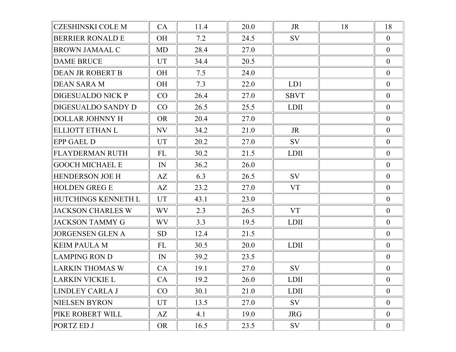| <b>CZESHINSKI COLE M</b> | CA        | 11.4 | 20.0 | <b>JR</b>   | 18 | 18               |
|--------------------------|-----------|------|------|-------------|----|------------------|
| <b>BERRIER RONALD E</b>  | <b>OH</b> | 7.2  | 24.5 | SV          |    | $\overline{0}$   |
| <b>BROWN JAMAAL C</b>    | MD        | 28.4 | 27.0 |             |    | $\overline{0}$   |
| <b>DAME BRUCE</b>        | <b>UT</b> | 34.4 | 20.5 |             |    | $\boldsymbol{0}$ |
| <b>DEAN JR ROBERT B</b>  | <b>OH</b> | 7.5  | 24.0 |             |    | $\overline{0}$   |
| <b>DEAN SARA M</b>       | <b>OH</b> | 7.3  | 22.0 | LD1         |    | $\overline{0}$   |
| <b>DIGESUALDO NICK P</b> | CO        | 26.4 | 27.0 | <b>SBVT</b> |    | $\boldsymbol{0}$ |
| DIGESUALDO SANDY D       | CO        | 26.5 | 25.5 | <b>LDII</b> |    | $\overline{0}$   |
| <b>DOLLAR JOHNNY H</b>   | <b>OR</b> | 20.4 | 27.0 |             |    | $\overline{0}$   |
| ELLIOTT ETHAN L          | NV        | 34.2 | 21.0 | JR          |    | $\boldsymbol{0}$ |
| <b>EPP GAEL D</b>        | <b>UT</b> | 20.2 | 27.0 | SV          |    | $\overline{0}$   |
| <b>FLAYDERMAN RUTH</b>   | FL        | 30.2 | 21.5 | <b>LDII</b> |    | $\overline{0}$   |
| <b>GOOCH MICHAEL E</b>   | IN        | 36.2 | 26.0 |             |    | $\boldsymbol{0}$ |
| <b>HENDERSON JOE H</b>   | AZ        | 6.3  | 26.5 | SV          |    | $\overline{0}$   |
| <b>HOLDEN GREG E</b>     | AZ        | 23.2 | 27.0 | <b>VT</b>   |    | $\overline{0}$   |
| HUTCHINGS KENNETH L      | <b>UT</b> | 43.1 | 23.0 |             |    | $\boldsymbol{0}$ |
| <b>JACKSON CHARLES W</b> | <b>WV</b> | 2.3  | 26.5 | <b>VT</b>   |    | $\overline{0}$   |
| <b>JACKSON TAMMY G</b>   | <b>WV</b> | 3.3  | 19.5 | <b>LDII</b> |    | $\overline{0}$   |
| <b>JORGENSEN GLEN A</b>  | <b>SD</b> | 12.4 | 21.5 |             |    | $\boldsymbol{0}$ |
| <b>KEIM PAULA M</b>      | FL        | 30.5 | 20.0 | <b>LDII</b> |    | $\overline{0}$   |
| <b>LAMPING RON D</b>     | IN        | 39.2 | 23.5 |             |    | $\overline{0}$   |
| LARKIN THOMAS W          | CA        | 19.1 | 27.0 | <b>SV</b>   |    | $\boldsymbol{0}$ |
| LARKIN VICKIE L          | CA        | 19.2 | 26.0 | <b>LDII</b> |    | $\boldsymbol{0}$ |
| LINDLEY CARLA J          | CO        | 30.1 | 21.0 | <b>LDII</b> |    | $\overline{0}$   |
| <b>NIELSEN BYRON</b>     | UT        | 13.5 | 27.0 | SV          |    | $\boldsymbol{0}$ |
| PIKE ROBERT WILL         | AZ        | 4.1  | 19.0 | <b>JRG</b>  |    | $\mathbf{0}$     |
| PORTZ ED J               | <b>OR</b> | 16.5 | 23.5 | SV          |    | $\overline{0}$   |